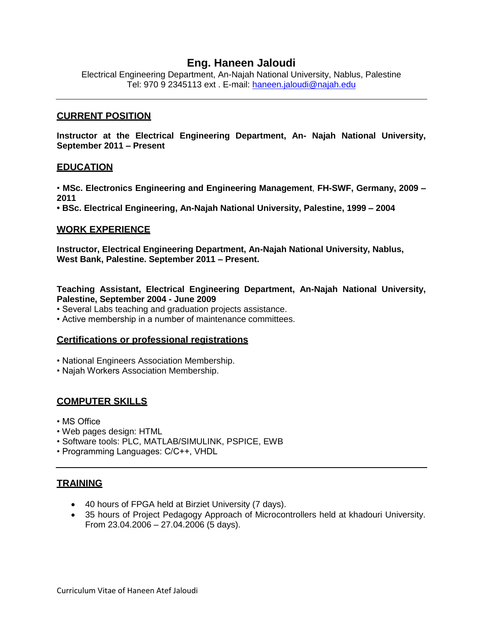# **Eng. Haneen Jaloudi**

Electrical Engineering Department, An-Najah National University, Nablus, Palestine Tel: 970 9 2345113 ext . E-mail: [haneen.jaloudi@najah.edu](mailto:haneen.jaloudi@najah.edu)

#### **CURRENT POSITION**

**Instructor at the Electrical Engineering Department, An- Najah National University, September 2011 – Present**

#### **EDUCATION**

• **MSc. Electronics Engineering and Engineering Management**, **FH-SWF, Germany, 2009 – 2011**

**• BSc. Electrical Engineering, An-Najah National University, Palestine, 1999 – 2004**

### **WORK EXPERIENCE**

**Instructor, Electrical Engineering Department, An-Najah National University, Nablus, West Bank, Palestine. September 2011 – Present.**

**Teaching Assistant, Electrical Engineering Department, An-Najah National University, Palestine, September 2004 - June 2009**

- Several Labs teaching and graduation projects assistance.
- Active membership in a number of maintenance committees.

#### **Certifications or professional registrations**

- National Engineers Association Membership.
- Najah Workers Association Membership.

### **COMPUTER SKILLS**

- MS Office
- Web pages design: HTML
- Software tools: PLC, MATLAB/SIMULINK, PSPICE, EWB
- Programming Languages: C/C++, VHDL

### **TRAINING**

- 40 hours of FPGA held at Birziet University (7 days).
- 35 hours of Project Pedagogy Approach of Microcontrollers held at khadouri University. From 23.04.2006 – 27.04.2006 (5 days).